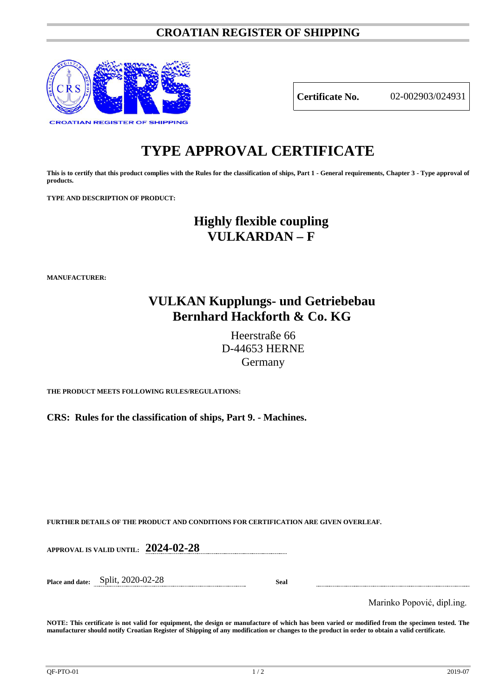### **CROATIAN REGISTER OF SHIPPING**



**Certificate No.** 02-002903/024931

# **TYPE APPROVAL CERTIFICATE**

**This is to certify that this product complies with the Rules for the classification of ships, Part 1 - General requirements, Chapter 3 - Type approval of products.**

**TYPE AND DESCRIPTION OF PRODUCT:** 

## **Highly flexible coupling VULKARDAN – F**

**MANUFACTURER:**

## **VULKAN Kupplungs- und Getriebebau Bernhard Hackforth & Co. KG**

Heerstraße 66 D-44653 HERNE Germany

**THE PRODUCT MEETS FOLLOWING RULES/REGULATIONS:**

**CRS: Rules for the classification of ships, Part 9. - Machines.**

**FURTHER DETAILS OF THE PRODUCT AND CONDITIONS FOR CERTIFICATION ARE GIVEN OVERLEAF.**

**APPROVAL IS VALID UNTIL: 2024-02-28**

**Place and date:** Split, 2020-02-28 **Seal**

Marinko Popović, dipl.ing.

**NOTE: This certificate is not valid for equipment, the design or manufacture of which has been varied or modified from the specimen tested. The manufacturer should notify Croatian Register of Shipping of any modification or changes to the product in order to obtain a valid certificate.**